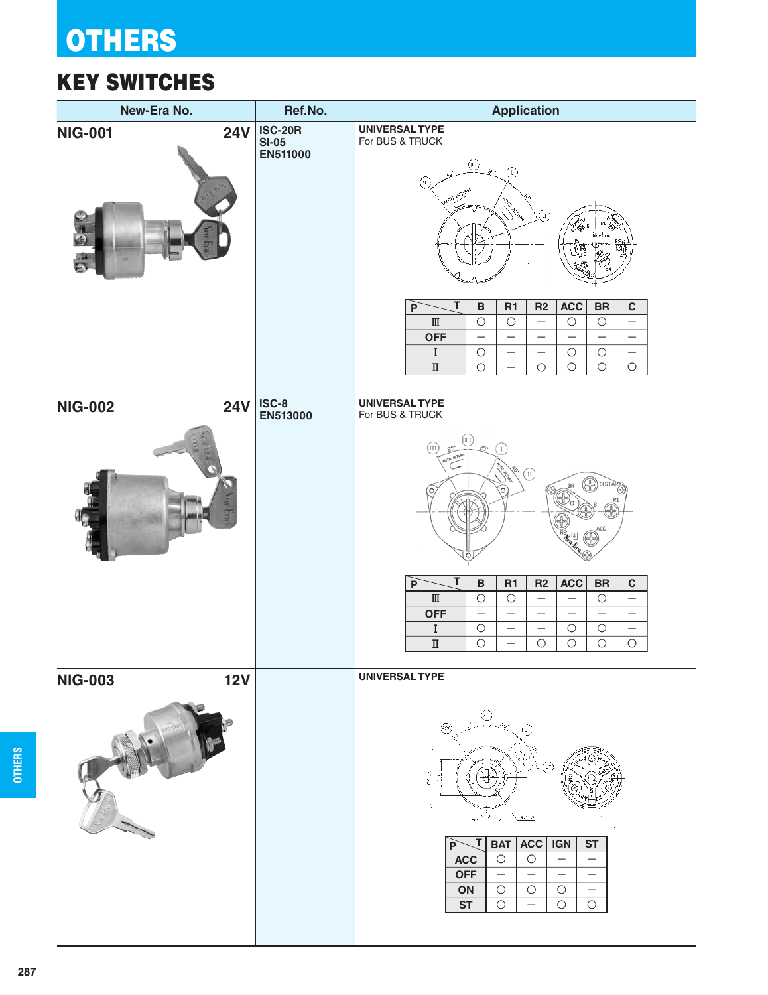# **OTHERS**

### KEY SWITCHES

| New-Era No.                                    | Ref.No.                               | <b>Application</b>                                                                                                                                                                                                                                                                                                                                                                                                                                                                                                                                                                                                                                                                                                                                                        |  |  |
|------------------------------------------------|---------------------------------------|---------------------------------------------------------------------------------------------------------------------------------------------------------------------------------------------------------------------------------------------------------------------------------------------------------------------------------------------------------------------------------------------------------------------------------------------------------------------------------------------------------------------------------------------------------------------------------------------------------------------------------------------------------------------------------------------------------------------------------------------------------------------------|--|--|
| <b>24V</b><br><b>NIG-001</b><br>O <sub>E</sub> | <b>ISC-20R</b><br>$SI-05$<br>EN511000 | <b>UNIVERSAL TYPE</b><br>For BUS & TRUCK<br>@<br>$\odot$<br>$y_{\rm p}$<br>(a.)<br>UTIO RETURN<br><b>Richard Review</b><br>(I)<br><b>ACC</b><br>R2<br>${\sf BR}$<br>$\, {\bf B}$<br>R1<br>$\mathbf C$<br>P<br>$\rm I\hspace{-.1em}I\hspace{-.1em}I$<br>$\circ$<br>$\bigcirc$<br>$\bigcirc$<br>$\bigcirc$<br>$\overline{\phantom{0}}$<br>$\qquad \qquad -$                                                                                                                                                                                                                                                                                                                                                                                                                 |  |  |
|                                                |                                       | <b>OFF</b><br>$\overbrace{\phantom{1232211}}$<br>$\qquad \qquad -$<br>$\qquad \qquad -$<br>$\overline{\phantom{m}}$<br>$\overline{\phantom{0}}$<br>$\rm I$<br>$\bigcirc$<br>$\bigcirc$<br>$\bigcirc$<br>$\qquad \qquad -$<br>$\qquad \qquad -$<br>$\overline{\phantom{m}}$<br>$\bigcirc$<br>$\bigcirc$<br>$\bigcirc$<br>$\bigcirc$<br>$\rm I\hspace{-0.5mm}I$<br>$\bigcirc$<br>$\qquad \qquad -$<br><b>UNIVERSAL TYPE</b>                                                                                                                                                                                                                                                                                                                                                 |  |  |
| <b>NIG-002</b><br><b>24V</b>                   | $ISC-8$<br>EN513000                   | For BUS & TRUCK<br>III<br><b>WTO BETURN</b><br>$\left( \Pi \right)$<br>CCS<br>ACC<br>R <sub>2</sub><br><b>ACC</b><br><b>BR</b><br>$\, {\bf B}$<br>R1<br>$\mathbf c$<br>Т<br>$\overline{P}$<br>$\rm I\hspace{-.1em}I\hspace{-.1em}I$<br>$\bigcirc$<br>$\bigcirc$<br>$\bigcirc$<br>$\overline{\phantom{m}}$<br>$\qquad \qquad -$<br>$\overline{\phantom{m}}$<br><b>OFF</b><br>$\overline{\phantom{0}}$<br>$\overline{\phantom{0}}$<br>$\qquad \qquad -$<br>$\overline{\phantom{0}}$<br>$\overline{\phantom{0}}$<br>$\rm I$<br>$\bigcirc$<br>$\circ$<br>$\bigcirc$<br>$\qquad \qquad -$<br>$\overline{\phantom{m}}$<br>$\overline{\phantom{m}}$<br>$\overline{\rm I\hspace{-.1em}I}$<br>$\circ$<br>$\bigcirc$<br>$\bigcirc$<br>$\bigcirc$<br>$\bigcirc$<br>$\qquad \qquad -$ |  |  |
| <b>NIG-003</b><br><b>12V</b>                   |                                       | <b>UNIVERSAL TYPE</b><br>€<br>Çã,<br>š<br>d<br>$\boldsymbol{\beta}$<br>$621.3$<br>×,<br><b>BAT</b><br><b>ACC</b><br>т<br>IGN<br><b>ST</b><br>$\mathsf{P}$<br><b>ACC</b><br>$\circ$<br>$\bigcirc$<br>$\overline{\phantom{0}}$<br><b>OFF</b><br>$\overline{\phantom{0}}$<br>$\overline{\phantom{0}}$<br>$\qquad \qquad -$<br>ON<br>$\bigcirc$<br>$\circ$<br>$\circ$<br>$\qquad \qquad -$<br><b>ST</b><br>$\bigcirc$<br>$\bigcirc$<br>$\circ$<br>$\overline{\phantom{0}}$                                                                                                                                                                                                                                                                                                    |  |  |